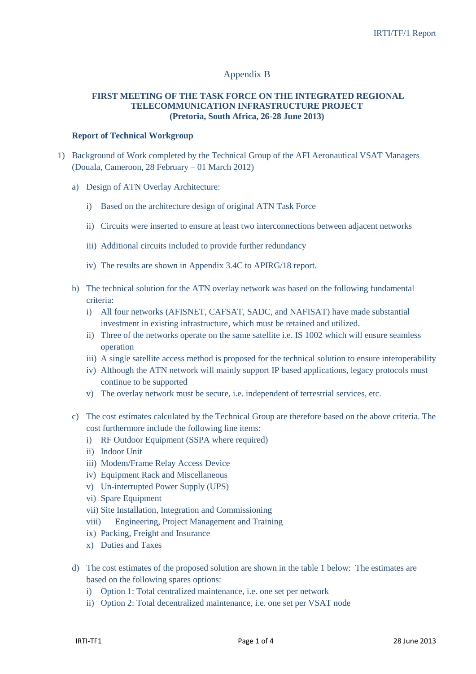## Appendix B

## **FIRST MEETING OF THE TASK FORCE ON THE INTEGRATED REGIONAL TELECOMMUNICATION INFRASTRUCTURE PROJECT (Pretoria, South Africa, 26-28 June 2013)**

## **Report of Technical Workgroup**

- 1) Background of Work completed by the Technical Group of the AFI Aeronautical VSAT Managers (Douala, Cameroon, 28 February – 01 March 2012)
	- a) Design of ATN Overlay Architecture:
		- i) Based on the architecture design of original ATN Task Force
		- ii) Circuits were inserted to ensure at least two interconnections between adjacent networks
		- iii) Additional circuits included to provide further redundancy
		- iv) The results are shown in Appendix 3.4C to APIRG/18 report.
	- b) The technical solution for the ATN overlay network was based on the following fundamental criteria:
		- i) All four networks (AFISNET, CAFSAT, SADC, and NAFISAT) have made substantial investment in existing infrastructure, which must be retained and utilized.
		- ii) Three of the networks operate on the same satellite i.e. IS 1002 which will ensure seamless operation
		- iii) A single satellite access method is proposed for the technical solution to ensure interoperability
		- iv) Although the ATN network will mainly support IP based applications, legacy protocols must continue to be supported
		- v) The overlay network must be secure, i.e. independent of terrestrial services, etc.
	- c) The cost estimates calculated by the Technical Group are therefore based on the above criteria. The cost furthermore include the following line items:
		- i) RF Outdoor Equipment (SSPA where required)
		- ii) Indoor Unit
		- iii) Modem/Frame Relay Access Device
		- iv) Equipment Rack and Miscellaneous
		- v) Un-interrupted Power Supply (UPS)
		- vi) Spare Equipment
		- vii) Site Installation, Integration and Commissioning
		- viii) Engineering, Project Management and Training
		- ix) Packing, Freight and Insurance
		- x) Duties and Taxes
	- d) The cost estimates of the proposed solution are shown in the table 1 below: The estimates are based on the following spares options:
		- i) Option 1: Total centralized maintenance, i.e. one set per network
		- ii) Option 2: Total decentralized maintenance, i.e. one set per VSAT node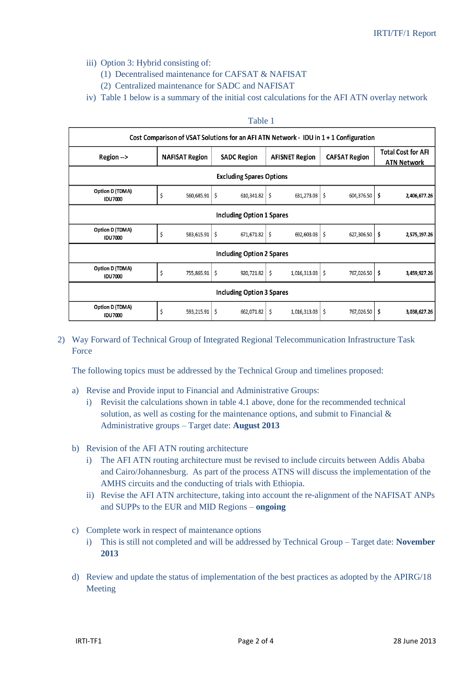- iii) Option 3: Hybrid consisting of:
	- (1) Decentralised maintenance for CAFSAT & NAFISAT
	- (2) Centralized maintenance for SADC and NAFISAT
- iv) Table 1 below is a summary of the initial cost calculations for the AFI ATN overlay network

## Table 1

| Cost Comparison of VSAT Solutions for an AFI ATN Network - IDU in 1 + 1 Configuration |                           |                    |                       |                      |                                                 |  |  |  |  |  |  |  |  |  |
|---------------------------------------------------------------------------------------|---------------------------|--------------------|-----------------------|----------------------|-------------------------------------------------|--|--|--|--|--|--|--|--|--|
| $Region ->$                                                                           | <b>NAFISAT Region</b>     | <b>SADC Region</b> | <b>AFISNET Region</b> | <b>CAFSAT Region</b> | <b>Total Cost for AFI</b><br><b>ATN Network</b> |  |  |  |  |  |  |  |  |  |
| <b>Excluding Spares Options</b>                                                       |                           |                    |                       |                      |                                                 |  |  |  |  |  |  |  |  |  |
| Option D (TDMA)<br><b>IDU7000</b>                                                     | \$<br>560,685.91          | \$<br>610,341.82   | \$<br>631,273.03      | \$<br>604,376.50     | \$<br>2,406,677.26                              |  |  |  |  |  |  |  |  |  |
| <b>Including Option 1 Spares</b>                                                      |                           |                    |                       |                      |                                                 |  |  |  |  |  |  |  |  |  |
| Option D (TDMA)<br><b>IDU7000</b>                                                     | Ś<br>583,615.91           | \$<br>671,671.82   | \$<br>692,603.03      | \$<br>627,306.50     | \$<br>2,575,197.26                              |  |  |  |  |  |  |  |  |  |
| Including Option 2 Spares                                                             |                           |                    |                       |                      |                                                 |  |  |  |  |  |  |  |  |  |
| Option D (TDMA)<br><b>IDU7000</b>                                                     | \$<br>755,865.91          | \$<br>920,721.82   | \$<br>1,016,313.03    | \$<br>767,026.50     | \$<br>3,459,927.26                              |  |  |  |  |  |  |  |  |  |
|                                                                                       | Including Option 3 Spares |                    |                       |                      |                                                 |  |  |  |  |  |  |  |  |  |
| Option D (TDMA)<br><b>IDU7000</b>                                                     | \$<br>593,215.91          | \$<br>662,071.82   | \$<br>1,016,313.03    | \$<br>767,026.50     | \$<br>3,038,627.26                              |  |  |  |  |  |  |  |  |  |

2) Way Forward of Technical Group of Integrated Regional Telecommunication Infrastructure Task Force

The following topics must be addressed by the Technical Group and timelines proposed:

- a) Revise and Provide input to Financial and Administrative Groups:
	- i) Revisit the calculations shown in table 4.1 above, done for the recommended technical solution, as well as costing for the maintenance options, and submit to Financial & Administrative groups – Target date: **August 2013**
- b) Revision of the AFI ATN routing architecture
	- i) The AFI ATN routing architecture must be revised to include circuits between Addis Ababa and Cairo/Johannesburg. As part of the process ATNS will discuss the implementation of the AMHS circuits and the conducting of trials with Ethiopia.
	- ii) Revise the AFI ATN architecture, taking into account the re-alignment of the NAFISAT ANPs and SUPPs to the EUR and MID Regions – **ongoing**
- c) Complete work in respect of maintenance options
	- i) This is still not completed and will be addressed by Technical Group Target date: **November 2013**
- d) Review and update the status of implementation of the best practices as adopted by the APIRG/18 Meeting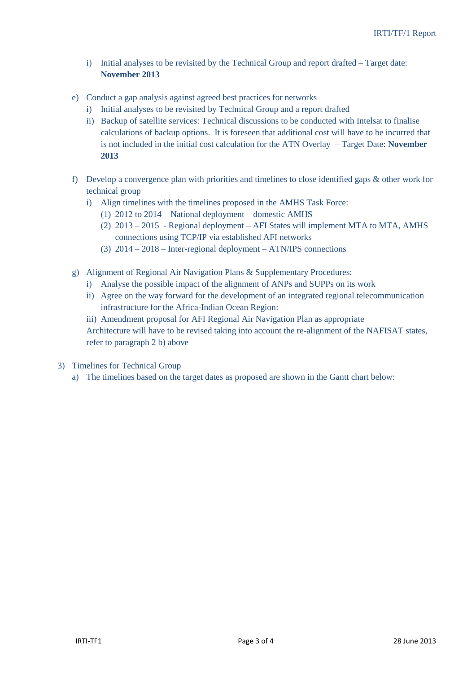- i) Initial analyses to be revisited by the Technical Group and report drafted Target date: **November 2013**
- e) Conduct a gap analysis against agreed best practices for networks
	- i) Initial analyses to be revisited by Technical Group and a report drafted
	- ii) Backup of satellite services: Technical discussions to be conducted with Intelsat to finalise calculations of backup options. It is foreseen that additional cost will have to be incurred that is not included in the initial cost calculation for the ATN Overlay – Target Date: **November 2013**
- f) Develop a convergence plan with priorities and timelines to close identified gaps & other work for technical group
	- i) Align timelines with the timelines proposed in the AMHS Task Force:
		- (1) 2012 to 2014 National deployment domestic AMHS
		- (2) 2013 2015 Regional deployment AFI States will implement MTA to MTA, AMHS connections using TCP/IP via established AFI networks
		- (3) 2014 2018 Inter-regional deployment ATN/IPS connections
- g) Alignment of Regional Air Navigation Plans & Supplementary Procedures:
	- i) Analyse the possible impact of the alignment of ANPs and SUPPs on its work
	- ii) Agree on the way forward for the development of an integrated regional telecommunication infrastructure for the Africa-Indian Ocean Region:
	- iii) Amendment proposal for AFI Regional Air Navigation Plan as appropriate Architecture will have to be revised taking into account the re-alignment of the NAFISAT states, refer to paragraph 2 b) above
- 3) Timelines for Technical Group
	- a) The timelines based on the target dates as proposed are shown in the Gantt chart below: